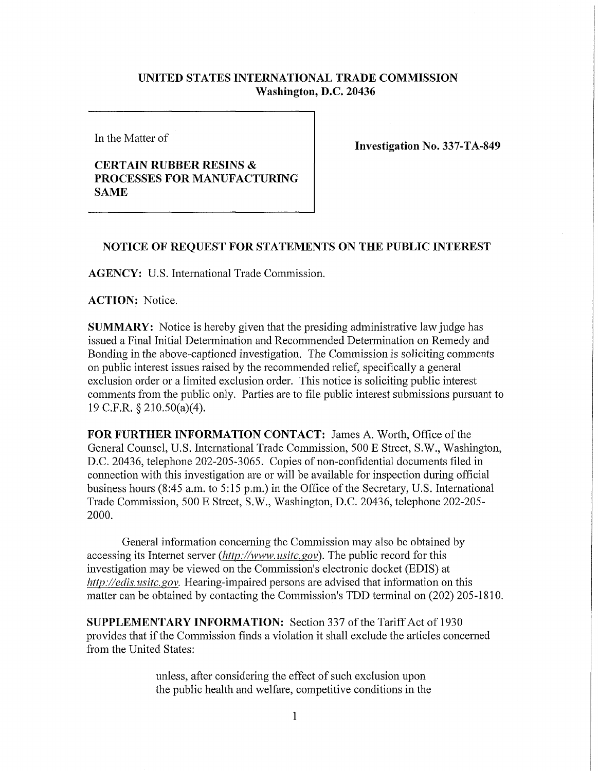## **UNITED STATES INTERNATIONAL TRADE COMMISSION Washington, D.C. 20436**

In the Matter of

## **CERTAIN RUBBER RESINS & PROCESSES FOR MANUFACTURING SAME**

**Investigation No. 337-TA-849** 

## **NOTICE OF REQUEST FOR STATEMENTS ON THE PUBLIC INTEREST**

**AGENCY: U.S.** International Trade Commission.

**ACTION:** Notice.

**SUMMARY:** Notice is hereby given that the presiding administrative law judge has issued a Final Initial Determination and Recommended Determination on Remedy and Bonding in the above-captioned investigation. The Commission is soliciting comments on public interest issues raised by the recommended relief, specifically a general exclusion order or a limited exclusion order. This notice is soliciting public interest comments from the public only. Parties are to file public interest submissions pursuant to 19 C.F.R. §210.50(a)(4).

**FOR FURTHER INFORMATION CONTACT:** James A. Worth, Office of the General Counsel, U.S. International Trade Commission, 500 E Street, S.W., Washington, D.C. 20436, telephone 202-205-3065. Copies of non-confidential documents filed in connection with this investigation are or will be available for inspection during official business hours (8:45 a.m. to 5:15 p.m.) in the Office of the Secretary, U.S. International Trade Commission, 500 E Street, S.W., Washington, D.C. 20436, telephone 202-205- 2000.

General information concerning the Commission may also be obtained by accessing its Internet server *(http://www, usitc. gov).* The public record for this investigation may be viewed on the Commission's electronic docket (EDIS) at *http://edis. usitc. gov.* Hearing-impaired persons are advised that information on this matter can be obtained by contacting the Commission's TDD terminal on (202) 205-1810.

**SUPPLEMENTARY INFORMATION:** Section 337 of the Tariff Act of 1930 provides that if the Commission finds a violation it shall exclude the articles concerned from the United States:

> unless, after considering the effect of such exclusion upon the public health and welfare, competitive conditions in the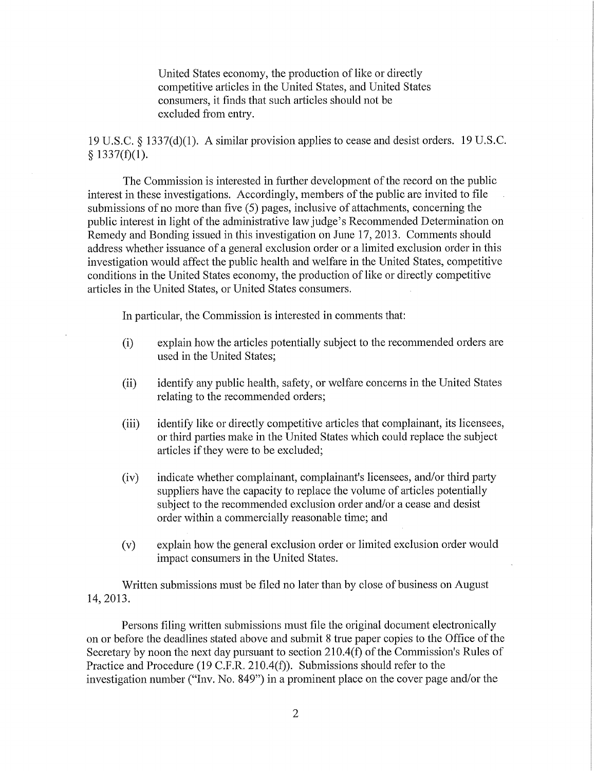United States economy, the production of like or directly competitive articles in the United States, and United States consumers, it finds that such articles should not be excluded from entry.

19 U.S.C. § 1337(d)(1). A similar provision applies to cease and desist orders. 19 U.S.C.  $§$  1337(f)(1).

The Commission is interested in further development of the record on the public interest in these investigations. Accordingly, members of the public are invited to file submissions of no more than five (5) pages, inclusive of attachments, concerning the public interest in light of the administrative law judge's Recommended Determination on Remedy and Bonding issued in this investigation on June 17, 2013. Comments should address whether issuance of a general exclusion order or a limited exclusion order in this investigation would affect the public health and welfare in the United States, competitive conditions in the United States economy, the production of like or directly competitive articles in the United States, or United States consumers.

In particular, the Commission is interested in comments that:

- (i) explain how the articles potentially subject to the recommended orders are used in the United States;
- (ii) identify any public health, safety, or welfare concerns in the United States relating to the recommended orders;
- (iii) identify like or directly competitive articles that complainant, its licensees, or third parties make in the United States which could replace the subject articles if they were to be excluded;
- (iv) indicate whether complainant, complainant's licensees, and/or third party suppliers have the capacity to replace the volume of articles potentially subject to the recommended exclusion order and/or a cease and desist order within a commercially reasonable time; and
- (v) explain how the general exclusion order or limited exclusion order would impact consumers in the United States.

Written submissions must be filed no later than by close of business on August 14, 2013.

Persons filing written submissions must file the original document electronically on or before the deadlines stated above and submit 8 true paper copies to the Office of the Secretary by noon the next day pursuant to section 210.4(f) of the Commission's Rules of Practice and Procedure (19 C.F.R. 210.4(f)). Submissions should refer to the investigation number ("Inv. No. 849") in a prominent place on the cover page and/or the